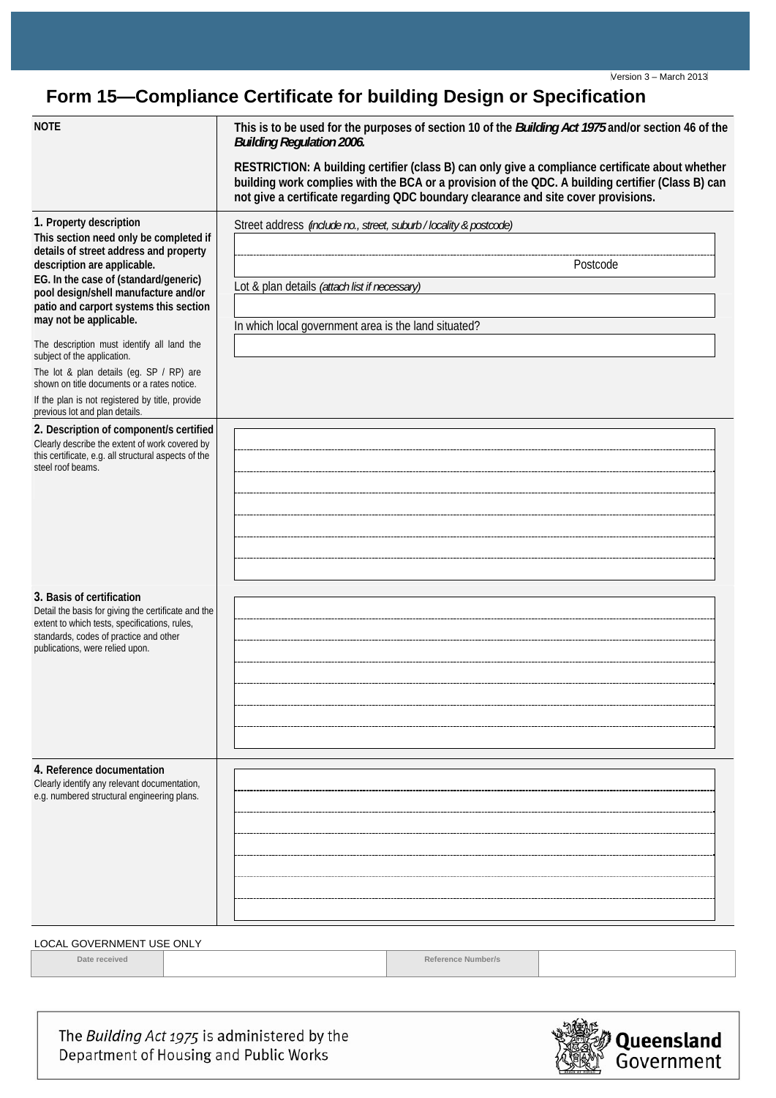## **Form 15—Compliance Certificate for building Design or Specification**

| <b>NOTE</b>                                                                                                                                                                                                                                                                                     | This is to be used for the purposes of section 10 of the <i>Building Act 1975</i> and/or section 46 of the<br><b>Building Regulation 2006.</b>                                                                                                                                              |
|-------------------------------------------------------------------------------------------------------------------------------------------------------------------------------------------------------------------------------------------------------------------------------------------------|---------------------------------------------------------------------------------------------------------------------------------------------------------------------------------------------------------------------------------------------------------------------------------------------|
|                                                                                                                                                                                                                                                                                                 | RESTRICTION: A building certifier (class B) can only give a compliance certificate about whether<br>building work complies with the BCA or a provision of the QDC. A building certifier (Class B) can<br>not give a certificate regarding QDC boundary clearance and site cover provisions. |
| 1. Property description<br>This section need only be completed if<br>details of street address and property<br>description are applicable.<br>EG. In the case of (standard/generic)<br>pool design/shell manufacture and/or<br>patio and carport systems this section<br>may not be applicable. | Street address (include no., street, suburb / locality & postcode)                                                                                                                                                                                                                          |
|                                                                                                                                                                                                                                                                                                 | Postcode<br>Lot & plan details (attach list if necessary)                                                                                                                                                                                                                                   |
|                                                                                                                                                                                                                                                                                                 | In which local government area is the land situated?                                                                                                                                                                                                                                        |
| The description must identify all land the<br>subject of the application.                                                                                                                                                                                                                       |                                                                                                                                                                                                                                                                                             |
| The lot & plan details (eg. SP / RP) are<br>shown on title documents or a rates notice.                                                                                                                                                                                                         |                                                                                                                                                                                                                                                                                             |
| If the plan is not registered by title, provide<br>previous lot and plan details.                                                                                                                                                                                                               |                                                                                                                                                                                                                                                                                             |
| 2. Description of component/s certified<br>Clearly describe the extent of work covered by<br>this certificate, e.g. all structural aspects of the<br>steel roof beams.                                                                                                                          |                                                                                                                                                                                                                                                                                             |
|                                                                                                                                                                                                                                                                                                 |                                                                                                                                                                                                                                                                                             |
|                                                                                                                                                                                                                                                                                                 |                                                                                                                                                                                                                                                                                             |
|                                                                                                                                                                                                                                                                                                 |                                                                                                                                                                                                                                                                                             |
| 3. Basis of certification<br>Detail the basis for giving the certificate and the<br>extent to which tests, specifications, rules,<br>standards, codes of practice and other<br>publications, were relied upon.                                                                                  |                                                                                                                                                                                                                                                                                             |
|                                                                                                                                                                                                                                                                                                 |                                                                                                                                                                                                                                                                                             |
|                                                                                                                                                                                                                                                                                                 |                                                                                                                                                                                                                                                                                             |
|                                                                                                                                                                                                                                                                                                 |                                                                                                                                                                                                                                                                                             |
| 4. Reference documentation<br>Clearly identify any relevant documentation,<br>e.g. numbered structural engineering plans.                                                                                                                                                                       |                                                                                                                                                                                                                                                                                             |
|                                                                                                                                                                                                                                                                                                 |                                                                                                                                                                                                                                                                                             |
|                                                                                                                                                                                                                                                                                                 |                                                                                                                                                                                                                                                                                             |
|                                                                                                                                                                                                                                                                                                 |                                                                                                                                                                                                                                                                                             |
| LOCAL GOVERNMENT USE ONLY                                                                                                                                                                                                                                                                       |                                                                                                                                                                                                                                                                                             |
|                                                                                                                                                                                                                                                                                                 |                                                                                                                                                                                                                                                                                             |

**Date received and reference Number/s and reference Number/s and reference Number/s and reference Number/s and reference Number/s and reference Number/s and reference Number/s and reference**  $\mathbb{R}^n$  **and reference Number/** 

The Building Act 1975 is administered by the Department of Housing and Public Works